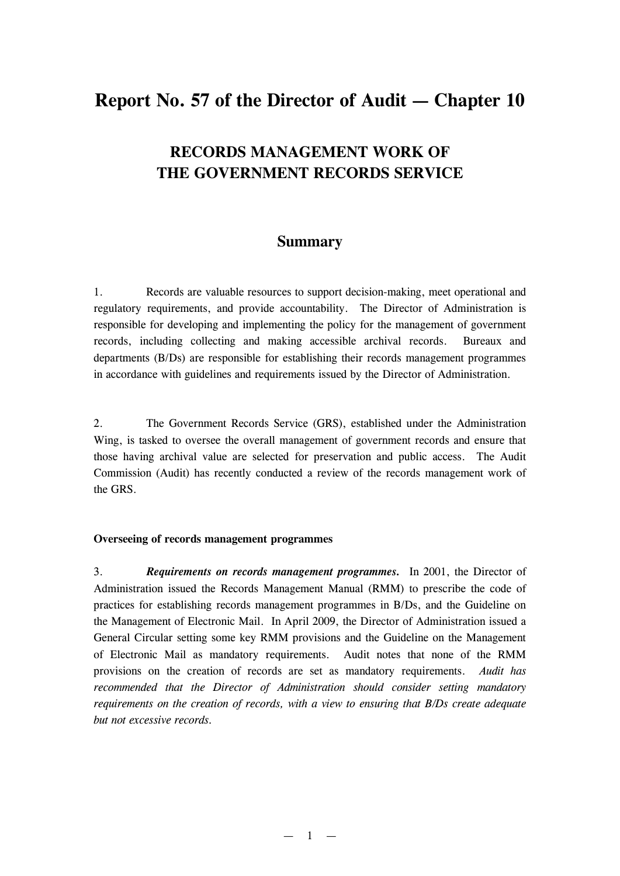# **Report No. 57 of the Director of Audit — Chapter 10**

# **RECORDS MANAGEMENT WORK OF THE GOVERNMENT RECORDS SERVICE**

# **Summary**

1. Records are valuable resources to support decision-making, meet operational and regulatory requirements, and provide accountability. The Director of Administration is responsible for developing and implementing the policy for the management of government records, including collecting and making accessible archival records. Bureaux and departments (B/Ds) are responsible for establishing their records management programmes in accordance with guidelines and requirements issued by the Director of Administration.

2. The Government Records Service (GRS), established under the Administration Wing, is tasked to oversee the overall management of government records and ensure that those having archival value are selected for preservation and public access. The Audit Commission (Audit) has recently conducted a review of the records management work of the GRS.

#### **Overseeing of records management programmes**

3. *Requirements on records management programmes.* In 2001, the Director of Administration issued the Records Management Manual (RMM) to prescribe the code of practices for establishing records management programmes in B/Ds, and the Guideline on the Management of Electronic Mail. In April 2009, the Director of Administration issued a General Circular setting some key RMM provisions and the Guideline on the Management of Electronic Mail as mandatory requirements. Audit notes that none of the RMM provisions on the creation of records are set as mandatory requirements. *Audit has recommended that the Director of Administration should consider setting mandatory requirements on the creation of records, with a view to ensuring that B/Ds create adequate but not excessive records.*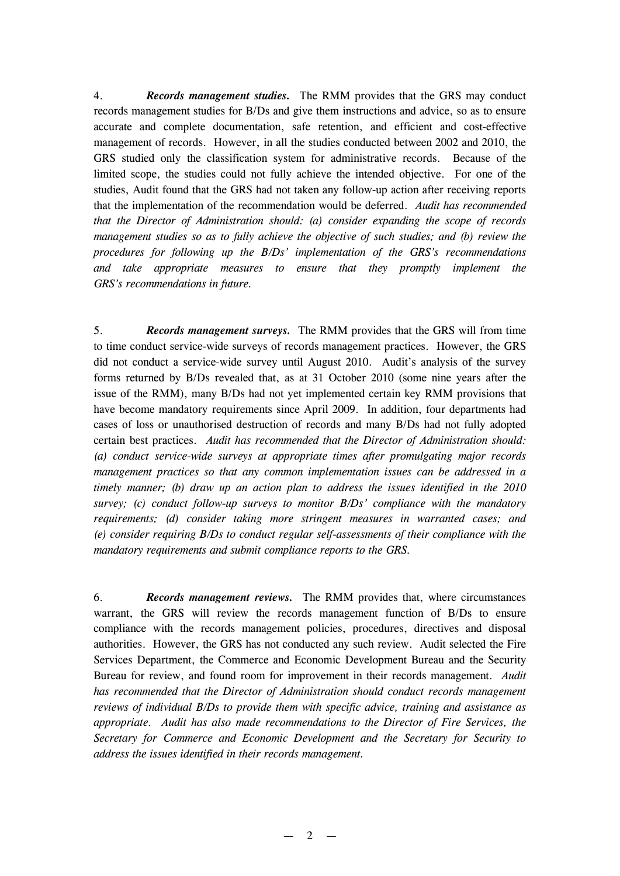4. *Records management studies.* The RMM provides that the GRS may conduct records management studies for B/Ds and give them instructions and advice, so as to ensure accurate and complete documentation, safe retention, and efficient and cost-effective management of records. However, in all the studies conducted between 2002 and 2010, the GRS studied only the classification system for administrative records. Because of the limited scope, the studies could not fully achieve the intended objective. For one of the studies, Audit found that the GRS had not taken any follow-up action after receiving reports that the implementation of the recommendation would be deferred. *Audit has recommended that the Director of Administration should: (a) consider expanding the scope of records management studies so as to fully achieve the objective of such studies; and (b) review the procedures for following up the B/Ds' implementation of the GRS's recommendations and take appropriate measures to ensure that they promptly implement the GRS's recommendations in future.*

5. *Records management surveys.* The RMM provides that the GRS will from time to time conduct service-wide surveys of records management practices. However, the GRS did not conduct a service-wide survey until August 2010. Audit's analysis of the survey forms returned by B/Ds revealed that, as at 31 October 2010 (some nine years after the issue of the RMM), many B/Ds had not yet implemented certain key RMM provisions that have become mandatory requirements since April 2009. In addition, four departments had cases of loss or unauthorised destruction of records and many B/Ds had not fully adopted certain best practices. *Audit has recommended that the Director of Administration should: (a) conduct service-wide surveys at appropriate times after promulgating major records management practices so that any common implementation issues can be addressed in a timely manner; (b) draw up an action plan to address the issues identified in the 2010 survey; (c) conduct follow-up surveys to monitor B/Ds' compliance with the mandatory requirements; (d) consider taking more stringent measures in warranted cases; and (e) consider requiring B/Ds to conduct regular self-assessments of their compliance with the mandatory requirements and submit compliance reports to the GRS.*

6. *Records management reviews.* The RMM provides that, where circumstances warrant, the GRS will review the records management function of B/Ds to ensure compliance with the records management policies, procedures, directives and disposal authorities. However, the GRS has not conducted any such review. Audit selected the Fire Services Department, the Commerce and Economic Development Bureau and the Security Bureau for review, and found room for improvement in their records management. *Audit has recommended that the Director of Administration should conduct records management reviews of individual B/Ds to provide them with specific advice, training and assistance as appropriate. Audit has also made recommendations to the Director of Fire Services, the Secretary for Commerce and Economic Development and the Secretary for Security to address the issues identified in their records management.*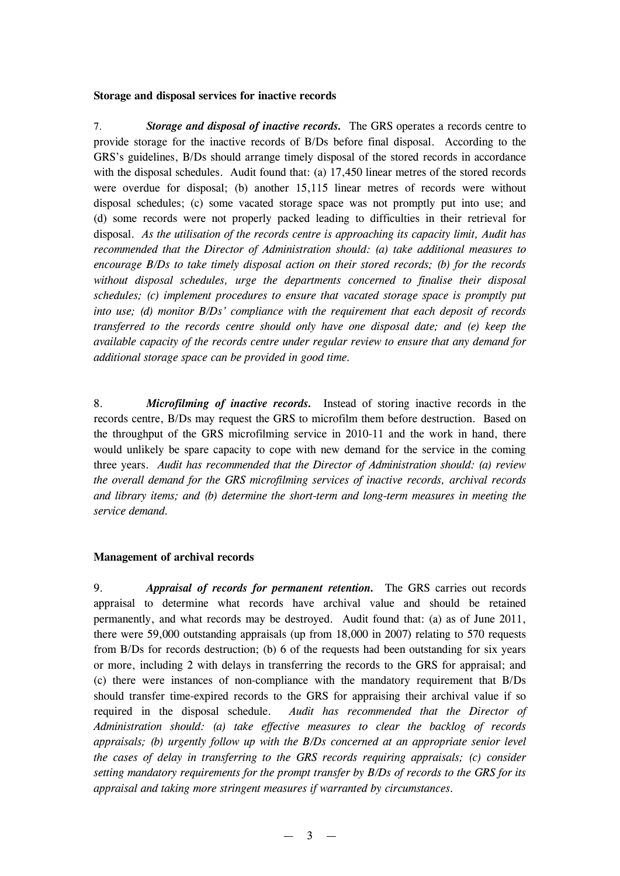#### **Storage and disposal services for inactive records**

7. *Storage and disposal of inactive records.* The GRS operates a records centre to provide storage for the inactive records of B/Ds before final disposal. According to the GRS's guidelines, B/Ds should arrange timely disposal of the stored records in accordance with the disposal schedules. Audit found that: (a) 17,450 linear metres of the stored records were overdue for disposal; (b) another 15,115 linear metres of records were without disposal schedules; (c) some vacated storage space was not promptly put into use; and (d) some records were not properly packed leading to difficulties in their retrieval for disposal. *As the utilisation of the records centre is approaching its capacity limit, Audit has recommended that the Director of Administration should: (a) take additional measures to encourage B/Ds to take timely disposal action on their stored records; (b) for the records without disposal schedules, urge the departments concerned to finalise their disposal schedules; (c) implement procedures to ensure that vacated storage space is promptly put into use; (d) monitor B/Ds' compliance with the requirement that each deposit of records transferred to the records centre should only have one disposal date; and (e) keep the available capacity of the records centre under regular review to ensure that any demand for additional storage space can be provided in good time.* 

8. *Microfilming of inactive records.* Instead of storing inactive records in the records centre, B/Ds may request the GRS to microfilm them before destruction. Based on the throughput of the GRS microfilming service in 2010-11 and the work in hand, there would unlikely be spare capacity to cope with new demand for the service in the coming three years. *Audit has recommended that the Director of Administration should: (a) review the overall demand for the GRS microfilming services of inactive records, archival records and library items; and (b) determine the short-term and long-term measures in meeting the service demand.* 

## **Management of archival records**

9. *Appraisal of records for permanent retention.* The GRS carries out records appraisal to determine what records have archival value and should be retained permanently, and what records may be destroyed. Audit found that: (a) as of June 2011, there were 59,000 outstanding appraisals (up from 18,000 in 2007) relating to 570 requests from B/Ds for records destruction; (b) 6 of the requests had been outstanding for six years or more, including 2 with delays in transferring the records to the GRS for appraisal; and (c) there were instances of non-compliance with the mandatory requirement that B/Ds should transfer time-expired records to the GRS for appraising their archival value if so required in the disposal schedule. *Audit has recommended that the Director of Administration should: (a) take effective measures to clear the backlog of records appraisals; (b) urgently follow up with the B/Ds concerned at an appropriate senior level the cases of delay in transferring to the GRS records requiring appraisals; (c) consider setting mandatory requirements for the prompt transfer by B/Ds of records to the GRS for its appraisal and taking more stringent measures if warranted by circumstances.*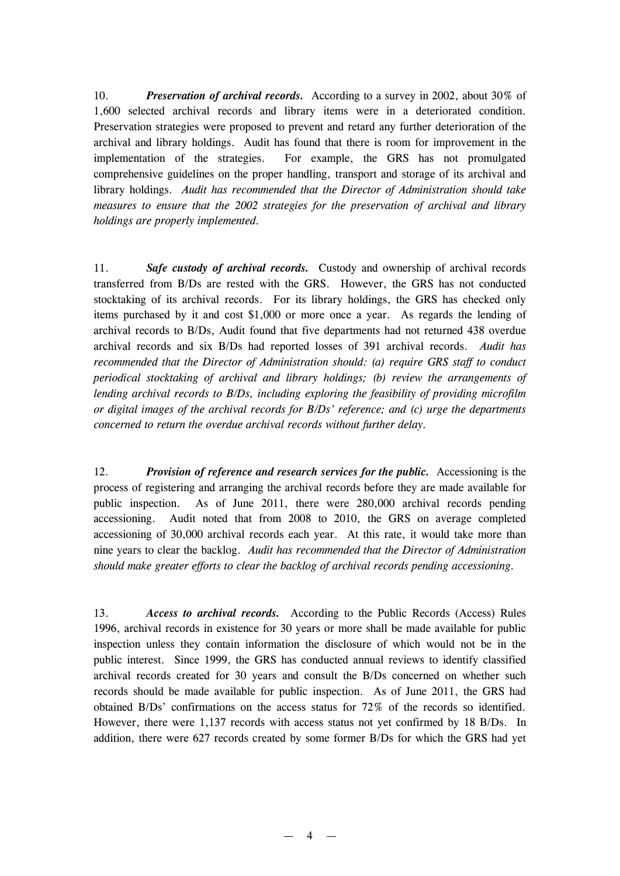10. *Preservation of archival records.* According to a survey in 2002, about 30% of 1,600 selected archival records and library items were in a deteriorated condition. Preservation strategies were proposed to prevent and retard any further deterioration of the archival and library holdings. Audit has found that there is room for improvement in the implementation of the strategies. For example, the GRS has not promulgated comprehensive guidelines on the proper handling, transport and storage of its archival and library holdings. *Audit has recommended that the Director of Administration should take measures to ensure that the 2002 strategies for the preservation of archival and library holdings are properly implemented.*

11. *Safe custody of archival records.* Custody and ownership of archival records transferred from B/Ds are rested with the GRS. However, the GRS has not conducted stocktaking of its archival records. For its library holdings, the GRS has checked only items purchased by it and cost \$1,000 or more once a year. As regards the lending of archival records to B/Ds, Audit found that five departments had not returned 438 overdue archival records and six B/Ds had reported losses of 391 archival records. *Audit has recommended that the Director of Administration should: (a) require GRS staff to conduct periodical stocktaking of archival and library holdings; (b) review the arrangements of lending archival records to B/Ds, including exploring the feasibility of providing microfilm or digital images of the archival records for B/Ds' reference; and (c) urge the departments concerned to return the overdue archival records without further delay.*

12. *Provision of reference and research services for the public.* Accessioning is the process of registering and arranging the archival records before they are made available for public inspection. As of June 2011, there were 280,000 archival records pending accessioning. Audit noted that from 2008 to 2010, the GRS on average completed accessioning of 30,000 archival records each year. At this rate, it would take more than nine years to clear the backlog. *Audit has recommended that the Director of Administration should make greater efforts to clear the backlog of archival records pending accessioning.*

13. *Access to archival records.* According to the Public Records (Access) Rules 1996, archival records in existence for 30 years or more shall be made available for public inspection unless they contain information the disclosure of which would not be in the public interest. Since 1999, the GRS has conducted annual reviews to identify classified archival records created for 30 years and consult the B/Ds concerned on whether such records should be made available for public inspection. As of June 2011, the GRS had obtained B/Ds' confirmations on the access status for 72% of the records so identified. However, there were 1,137 records with access status not yet confirmed by 18 B/Ds. In addition, there were 627 records created by some former B/Ds for which the GRS had yet